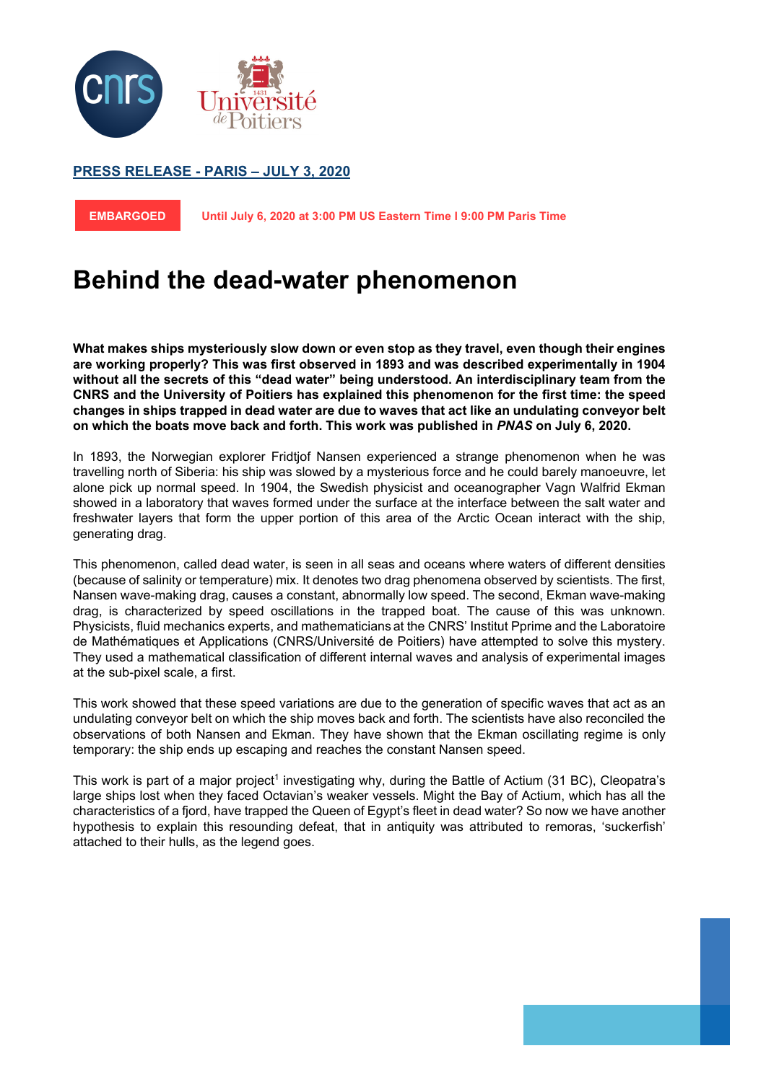

## **PRESS RELEASE - PARIS – JULY 3, 2020**

**EMBARGOED Until July 6, 2020 at 3:00 PM US Eastern Time l 9:00 PM Paris Time** 

# **Behind the dead-water phenomenon**

**What makes ships mysteriously slow down or even stop as they travel, even though their engines are working properly? This was first observed in 1893 and was described experimentally in 1904 without all the secrets of this "dead water" being understood. An interdisciplinary team from the CNRS and the University of Poitiers has explained this phenomenon for the first time: the speed changes in ships trapped in dead water are due to waves that act like an undulating conveyor belt on which the boats move back and forth. This work was published in** *PNAS* **on July 6, 2020.** 

In 1893, the Norwegian explorer Fridtjof Nansen experienced a strange phenomenon when he was travelling north of Siberia: his ship was slowed by a mysterious force and he could barely manoeuvre, let alone pick up normal speed. In 1904, the Swedish physicist and oceanographer Vagn Walfrid Ekman showed in a laboratory that waves formed under the surface at the interface between the salt water and freshwater layers that form the upper portion of this area of the Arctic Ocean interact with the ship, generating drag.

This phenomenon, called dead water, is seen in all seas and oceans where waters of different densities (because of salinity or temperature) mix. It denotes two drag phenomena observed by scientists. The first, Nansen wave-making drag, causes a constant, abnormally low speed. The second, Ekman wave-making drag, is characterized by speed oscillations in the trapped boat. The cause of this was unknown. Physicists, fluid mechanics experts, and mathematicians at the CNRS' Institut Pprime and the Laboratoire de Mathématiques et Applications (CNRS/Université de Poitiers) have attempted to solve this mystery. They used a mathematical classification of different internal waves and analysis of experimental images at the sub-pixel scale, a first.

This work showed that these speed variations are due to the generation of specific waves that act as an undulating conveyor belt on which the ship moves back and forth. The scientists have also reconciled the observations of both Nansen and Ekman. They have shown that the Ekman oscillating regime is only temporary: the ship ends up escaping and reaches the constant Nansen speed.

This work is part of a major project<sup>1</sup> investigating why, during the Battle of Actium (31 BC), Cleopatra's large ships lost when they faced Octavian's weaker vessels. Might the Bay of Actium, which has all the characteristics of a fjord, have trapped the Queen of Egypt's fleet in dead water? So now we have another hypothesis to explain this resounding defeat, that in antiquity was attributed to remoras, 'suckerfish' attached to their hulls, as the legend goes.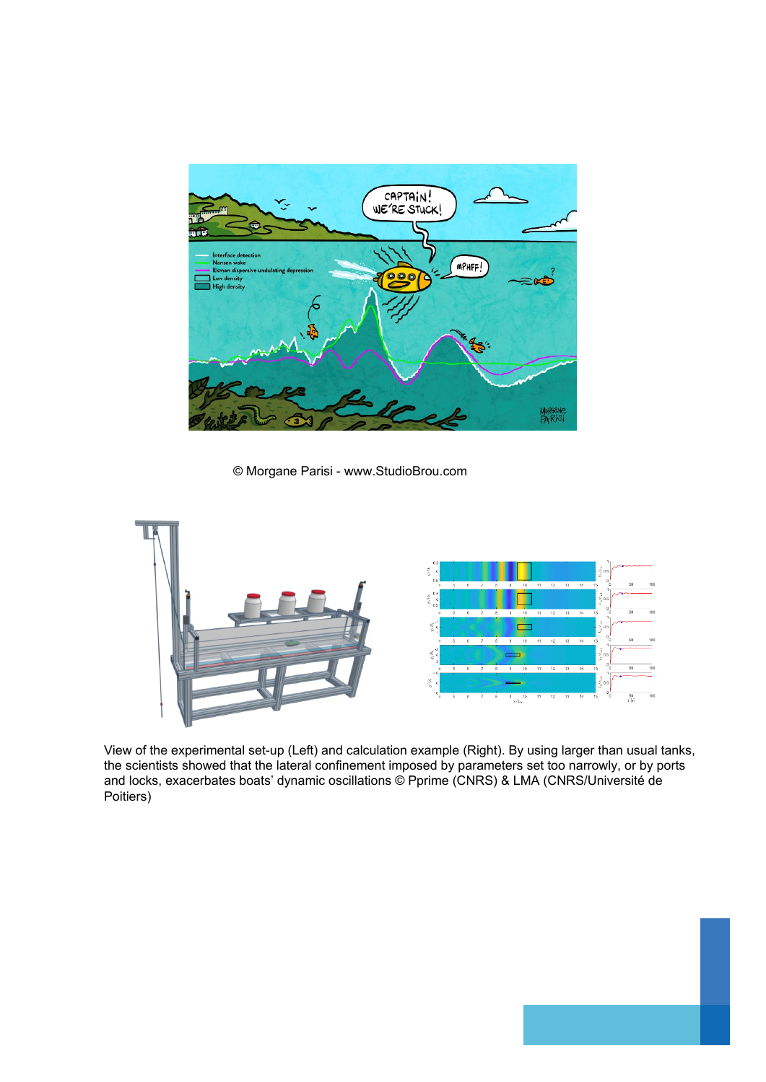

© Morgane Parisi - www.StudioBrou.com



View of the experimental set-up (Left) and calculation example (Right). By using larger than usual tanks, the scientists showed that the lateral confinement imposed by parameters set too narrowly, or by ports and locks, exacerbates boats' dynamic oscillations © Pprime (CNRS) & LMA (CNRS/Université de Poitiers)